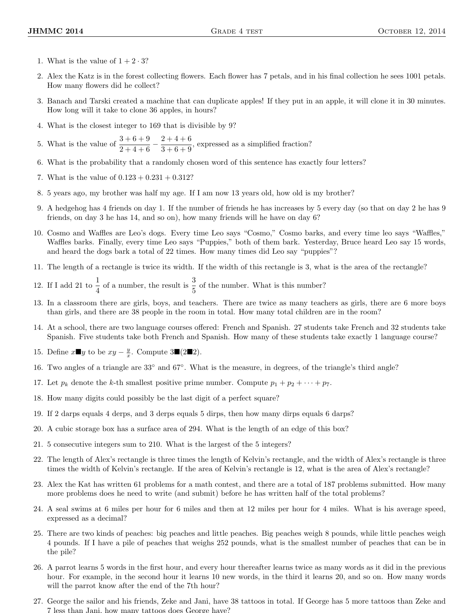- 1. What is the value of  $1 + 2 \cdot 3$ ?
- 2. Alex the Katz is in the forest collecting flowers. Each flower has 7 petals, and in his final collection he sees 1001 petals. How many flowers did he collect?
- 3. Banach and Tarski created a machine that can duplicate apples! If they put in an apple, it will clone it in 30 minutes. How long will it take to clone 36 apples, in hours?
- 4. What is the closest integer to 169 that is divisible by 9?
- 5. What is the value of  $\frac{3+6+9}{2+4+6} \frac{2+4+6}{3+6+9}$  $\frac{2+1+8}{3+6+9}$ , expressed as a simplified fraction?
- 6. What is the probability that a randomly chosen word of this sentence has exactly four letters?
- 7. What is the value of  $0.123 + 0.231 + 0.312$ ?
- 8. 5 years ago, my brother was half my age. If I am now 13 years old, how old is my brother?
- 9. A hedgehog has 4 friends on day 1. If the number of friends he has increases by 5 every day (so that on day 2 he has 9 friends, on day 3 he has 14, and so on), how many friends will he have on day 6?
- 10. Cosmo and Waffles are Leo's dogs. Every time Leo says "Cosmo," Cosmo barks, and every time leo says "Waffles," Waffles barks. Finally, every time Leo says "Puppies," both of them bark. Yesterday, Bruce heard Leo say 15 words, and heard the dogs bark a total of 22 times. How many times did Leo say "puppies"?
- 11. The length of a rectangle is twice its width. If the width of this rectangle is 3, what is the area of the rectangle?
- 12. If I add 21 to  $\frac{1}{4}$  of a number, the result is  $\frac{3}{5}$  of the number. What is this number?
- 13. In a classroom there are girls, boys, and teachers. There are twice as many teachers as girls, there are 6 more boys than girls, and there are 38 people in the room in total. How many total children are in the room?
- 14. At a school, there are two language courses offered: French and Spanish. 27 students take French and 32 students take Spanish. Five students take both French and Spanish. How many of these students take exactly 1 language course?
- 15. Define  $x \blacksquare y$  to be  $xy \frac{y}{x}$ . Compute 3■(2■2).
- 16. Two angles of a triangle are 33◦ and 67◦ . What is the measure, in degrees, of the triangle's third angle?
- 17. Let  $p_k$  denote the k-th smallest positive prime number. Compute  $p_1 + p_2 + \cdots + p_7$ .
- 18. How many digits could possibly be the last digit of a perfect square?
- 19. If 2 darps equals 4 derps, and 3 derps equals 5 dirps, then how many dirps equals 6 darps?
- 20. A cubic storage box has a surface area of 294. What is the length of an edge of this box?
- 21. 5 consecutive integers sum to 210. What is the largest of the 5 integers?
- 22. The length of Alex's rectangle is three times the length of Kelvin's rectangle, and the width of Alex's rectangle is three times the width of Kelvin's rectangle. If the area of Kelvin's rectangle is 12, what is the area of Alex's rectangle?
- 23. Alex the Kat has written 61 problems for a math contest, and there are a total of 187 problems submitted. How many more problems does he need to write (and submit) before he has written half of the total problems?
- 24. A seal swims at 6 miles per hour for 6 miles and then at 12 miles per hour for 4 miles. What is his average speed, expressed as a decimal?
- 25. There are two kinds of peaches: big peaches and little peaches. Big peaches weigh 8 pounds, while little peaches weigh 4 pounds. If I have a pile of peaches that weighs 252 pounds, what is the smallest number of peaches that can be in the pile?
- 26. A parrot learns 5 words in the first hour, and every hour thereafter learns twice as many words as it did in the previous hour. For example, in the second hour it learns 10 new words, in the third it learns 20, and so on. How many words will the parrot know after the end of the 7th hour?
- 27. George the sailor and his friends, Zeke and Jani, have 38 tattoos in total. If George has 5 more tattoos than Zeke and 7 less than Jani, how many tattoos does George have?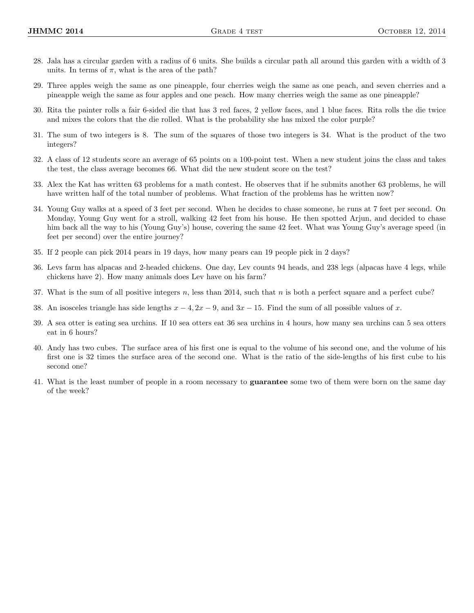- 28. Jala has a circular garden with a radius of 6 units. She builds a circular path all around this garden with a width of 3 units. In terms of  $\pi$ , what is the area of the path?
- 29. Three apples weigh the same as one pineapple, four cherries weigh the same as one peach, and seven cherries and a pineapple weigh the same as four apples and one peach. How many cherries weigh the same as one pineapple?
- 30. Rita the painter rolls a fair 6-sided die that has 3 red faces, 2 yellow faces, and 1 blue faces. Rita rolls the die twice and mixes the colors that the die rolled. What is the probability she has mixed the color purple?
- 31. The sum of two integers is 8. The sum of the squares of those two integers is 34. What is the product of the two integers?
- 32. A class of 12 students score an average of 65 points on a 100-point test. When a new student joins the class and takes the test, the class average becomes 66. What did the new student score on the test?
- 33. Alex the Kat has written 63 problems for a math contest. He observes that if he submits another 63 problems, he will have written half of the total number of problems. What fraction of the problems has he written now?
- 34. Young Guy walks at a speed of 3 feet per second. When he decides to chase someone, he runs at 7 feet per second. On Monday, Young Guy went for a stroll, walking 42 feet from his house. He then spotted Arjun, and decided to chase him back all the way to his (Young Guy's) house, covering the same 42 feet. What was Young Guy's average speed (in feet per second) over the entire journey?
- 35. If 2 people can pick 2014 pears in 19 days, how many pears can 19 people pick in 2 days?
- 36. Levs farm has alpacas and 2-headed chickens. One day, Lev counts 94 heads, and 238 legs (alpacas have 4 legs, while chickens have 2). How many animals does Lev have on his farm?
- 37. What is the sum of all positive integers n, less than 2014, such that n is both a perfect square and a perfect cube?
- 38. An isosceles triangle has side lengths  $x 4$ ,  $2x 9$ , and  $3x 15$ . Find the sum of all possible values of x.
- 39. A sea otter is eating sea urchins. If 10 sea otters eat 36 sea urchins in 4 hours, how many sea urchins can 5 sea otters eat in 6 hours?
- 40. Andy has two cubes. The surface area of his first one is equal to the volume of his second one, and the volume of his first one is 32 times the surface area of the second one. What is the ratio of the side-lengths of his first cube to his second one?
- 41. What is the least number of people in a room necessary to guarantee some two of them were born on the same day of the week?